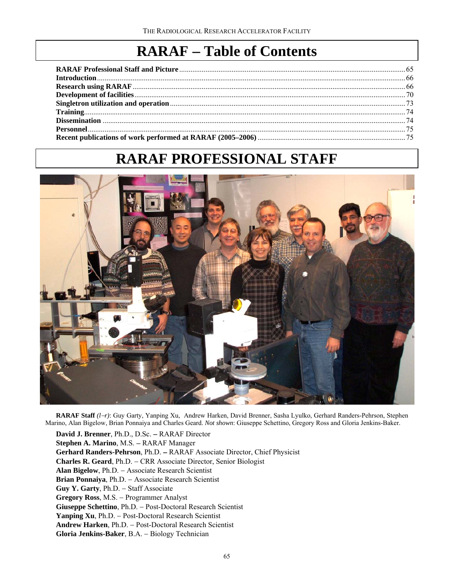# **RARAF** − **Table of Contents**

# **RARAF PROFESSIONAL STAFF**



**RARAF Staff** *(l*−*r)*: Guy Garty, Yanping Xu, Andrew Harken, David Brenner, Sasha Lyulko, Gerhard Randers-Pehrson, Stephen Marino, Alan Bigelow, Brian Ponnaiya and Charles Geard. *Not shown*: Giuseppe Schettino, Gregory Ross and Gloria Jenkins-Baker.

**David J. Brenner**, Ph.D., D.Sc. − RARAF Director **Stephen A. Marino**, M.S. − RARAF Manager **Gerhard Randers-Pehrson**, Ph.D. − RARAF Associate Director, Chief Physicist **Charles R. Geard**, Ph.D. − CRR Associate Director, Senior Biologist **Alan Bigelow**, Ph.D. − Associate Research Scientist **Brian Ponnaiya**, Ph.D. − Associate Research Scientist **Guy Y. Garty**, Ph.D. − Staff Associate **Gregory Ross**, M.S. − Programmer Analyst **Giuseppe Schettino**, Ph.D. − Post-Doctoral Research Scientist **Yanping Xu**, Ph.D. − Post-Doctoral Research Scientist **Andrew Harken**, Ph.D. − Post-Doctoral Research Scientist **Gloria Jenkins-Baker**, B.A. − Biology Technician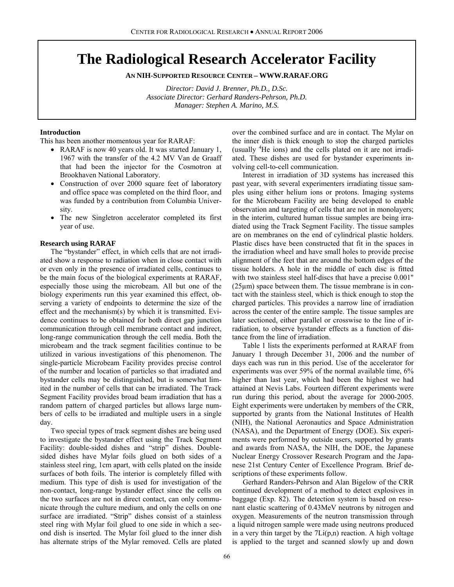# **The Radiological Research Accelerator Facility**

**AN NIH-SUPPORTED RESOURCE CENTER – WWW.RARAF.ORG** 

*Director: David J. Brenner, Ph.D., D.Sc. Associate Director: Gerhard Randers-Pehrson, Ph.D. Manager: Stephen A. Marino, M.S.* 

### **Introduction**

This has been another momentous year for RARAF:

- RARAF is now 40 years old. It was started January 1, 1967 with the transfer of the 4.2 MV Van de Graaff that had been the injector for the Cosmotron at Brookhaven National Laboratory.
- Construction of over 2000 square feet of laboratory and office space was completed on the third floor, and was funded by a contribution from Columbia University.
- The new Singletron accelerator completed its first year of use.

# **Research using RARAF**

The "bystander" effect, in which cells that are not irradiated show a response to radiation when in close contact with or even only in the presence of irradiated cells, continues to be the main focus of the biological experiments at RARAF, especially those using the microbeam. All but one of the biology experiments run this year examined this effect, observing a variety of endpoints to determine the size of the effect and the mechanism(s) by which it is transmitted. Evidence continues to be obtained for both direct gap junction communication through cell membrane contact and indirect, long-range communication through the cell media. Both the microbeam and the track segment facilities continue to be utilized in various investigations of this phenomenon. The single-particle Microbeam Facility provides precise control of the number and location of particles so that irradiated and bystander cells may be distinguished, but is somewhat limited in the number of cells that can be irradiated. The Track Segment Facility provides broad beam irradiation that has a random pattern of charged particles but allows large numbers of cells to be irradiated and multiple users in a single day.

Two special types of track segment dishes are being used to investigate the bystander effect using the Track Segment Facility: double-sided dishes and "strip" dishes. Doublesided dishes have Mylar foils glued on both sides of a stainless steel ring, 1cm apart, with cells plated on the inside surfaces of both foils. The interior is completely filled with medium. This type of dish is used for investigation of the non-contact, long-range bystander effect since the cells on the two surfaces are not in direct contact, can only communicate through the culture medium, and only the cells on one surface are irradiated. "Strip" dishes consist of a stainless steel ring with Mylar foil glued to one side in which a second dish is inserted. The Mylar foil glued to the inner dish has alternate strips of the Mylar removed. Cells are plated over the combined surface and are in contact. The Mylar on the inner dish is thick enough to stop the charged particles (usually <sup>4</sup> He ions) and the cells plated on it are not irradiated. These dishes are used for bystander experiments involving cell-to-cell communication.

Interest in irradiation of 3D systems has increased this past year, with several experimenters irradiating tissue samples using either helium ions or protons. Imaging systems for the Microbeam Facility are being developed to enable observation and targeting of cells that are not in monolayers; in the interim, cultured human tissue samples are being irradiated using the Track Segment Facility. The tissue samples are on membranes on the end of cylindrical plastic holders. Plastic discs have been constructed that fit in the spaces in the irradiation wheel and have small holes to provide precise alignment of the feet that are around the bottom edges of the tissue holders. A hole in the middle of each disc is fitted with two stainless steel half-discs that have a precise  $0.001"$  $(25\mu m)$  space between them. The tissue membrane is in contact with the stainless steel, which is thick enough to stop the charged particles. This provides a narrow line of irradiation across the center of the entire sample. The tissue samples are later sectioned, either parallel or crosswise to the line of irradiation, to observe bystander effects as a function of distance from the line of irradiation.

Table 1 lists the experiments performed at RARAF from January 1 through December 31, 2006 and the number of days each was run in this period. Use of the accelerator for experiments was over 59% of the normal available time, 6% higher than last year, which had been the highest we had attained at Nevis Labs. Fourteen different experiments were run during this period, about the average for 2000-2005. Eight experiments were undertaken by members of the CRR, supported by grants from the National Institutes of Health (NIH), the National Aeronautics and Space Administration (NASA), and the Department of Energy (DOE). Six experiments were performed by outside users, supported by grants and awards from NASA, the NIH, the DOE, the Japanese Nuclear Energy Crossover Research Program and the Japanese 21st Century Center of Excellence Program. Brief descriptions of these experiments follow.

Gerhard Randers-Pehrson and Alan Bigelow of the CRR continued development of a method to detect explosives in baggage (Exp. 82). The detection system is based on resonant elastic scattering of 0.43MeV neutrons by nitrogen and oxygen. Measurements of the neutron transmission through a liquid nitrogen sample were made using neutrons produced in a very thin target by the  $7Li(p,n)$  reaction. A high voltage is applied to the target and scanned slowly up and down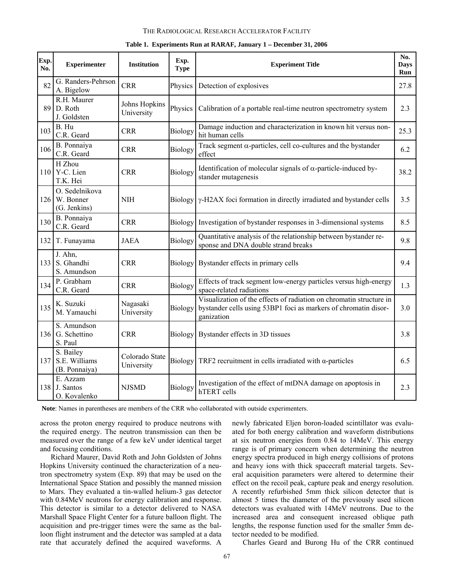#### THE RADIOLOGICAL RESEARCH ACCELERATOR FACILITY

| Exp.<br>No. | <b>Experimenter</b>                             | Institution                        | Exp.<br><b>Type</b> | <b>Experiment Title</b>                                                                                                                              | No.<br><b>Days</b><br>Run |
|-------------|-------------------------------------------------|------------------------------------|---------------------|------------------------------------------------------------------------------------------------------------------------------------------------------|---------------------------|
| 82          | G. Randers-Pehrson<br>A. Bigelow                | <b>CRR</b>                         | Physics             | Detection of explosives                                                                                                                              | 27.8                      |
| 89          | R.H. Maurer<br>D. Roth<br>J. Goldsten           | <b>Johns Hopkins</b><br>University | Physics             | Calibration of a portable real-time neutron spectrometry system                                                                                      | 2.3                       |
| 103         | B. Hu<br>C.R. Geard                             | <b>CRR</b>                         | Biology             | Damage induction and characterization in known hit versus non-<br>hit human cells                                                                    | 25.3                      |
| 106         | B. Ponnaiya<br>C.R. Geard                       | <b>CRR</b>                         | Biology             | Track segment $\alpha$ -particles, cell co-cultures and the bystander<br>effect                                                                      | 6.2                       |
|             | H Zhou<br>$110$ Y-C. Lien<br>T.K. Hei           | <b>CRR</b>                         | Biology             | Identification of molecular signals of $\alpha$ -particle-induced by-<br>stander mutagenesis                                                         | 38.2                      |
|             | O. Sedelnikova<br>126 W. Bonner<br>(G. Jenkins) | $\rm NIH$                          | Biology             | y-H2AX foci formation in directly irradiated and bystander cells                                                                                     | 3.5                       |
| 130         | B. Ponnaiya<br>C.R. Geard                       | <b>CRR</b>                         | Biology             | Investigation of bystander responses in 3-dimensional systems                                                                                        | 8.5                       |
|             | 132 T. Funayama                                 | <b>JAEA</b>                        | <b>Biology</b>      | Quantitative analysis of the relationship between bystander re-<br>sponse and DNA double strand breaks                                               | 9.8                       |
| 133         | J. Ahn,<br>S. Ghandhi<br>S. Amundson            | <b>CRR</b>                         | <b>Biology</b>      | Bystander effects in primary cells                                                                                                                   | 9.4                       |
| 134         | P. Grabham<br>C.R. Geard                        | <b>CRR</b>                         | Biology             | Effects of track segment low-energy particles versus high-energy<br>space-related radiations                                                         | 1.3                       |
| 135         | K. Suzuki<br>M. Yamauchi                        | Nagasaki<br>University             | <b>Biology</b>      | Visualization of the effects of radiation on chromatin structure in<br>bystander cells using 53BP1 foci as markers of chromatin disor-<br>ganization | 3.0                       |
|             | S. Amundson<br>136 G. Schettino<br>S. Paul      | <b>CRR</b>                         | Biology             | Bystander effects in 3D tissues                                                                                                                      | 3.8                       |
|             | S. Bailey<br>137 S.E. Williams<br>(B. Ponnaiya) | Colorado State<br>University       | Biology             | TRF2 recruitment in cells irradiated with $\alpha$ -particles                                                                                        | 6.5                       |
|             | E. Azzam<br>138 J. Santos                       | <b>NJSMD</b>                       | Biology             | Investigation of the effect of mtDNA damage on apoptosis in<br>hTERT cells                                                                           | 2.3                       |

#### **Table 1. Experiments Run at RARAF, January 1** − **December 31, 2006**

 **Note**: Names in parentheses are members of the CRR who collaborated with outside experimenters.

across the proton energy required to produce neutrons with the required energy. The neutron transmission can then be measured over the range of a few keV under identical target and focusing conditions.

O. Kovalenko

Richard Maurer, David Roth and John Goldsten of Johns Hopkins University continued the characterization of a neutron spectrometry system (Exp. 89) that may be used on the International Space Station and possibly the manned mission to Mars. They evaluated a tin-walled helium-3 gas detector with 0.84MeV neutrons for energy calibration and response. This detector is similar to a detector delivered to NASA Marshall Space Flight Center for a future balloon flight. The acquisition and pre-trigger times were the same as the balloon flight instrument and the detector was sampled at a data rate that accurately defined the acquired waveforms. A

newly fabricated Eljen boron-loaded scintillator was evaluated for both energy calibration and waveform distributions at six neutron energies from 0.84 to 14MeV. This energy range is of primary concern when determining the neutron energy spectra produced in high energy collisions of protons and heavy ions with thick spacecraft material targets. Several acquisition parameters were altered to determine their effect on the recoil peak, capture peak and energy resolution. A recently refurbished 5mm thick silicon detector that is almost 5 times the diameter of the previously used silicon detectors was evaluated with 14MeV neutrons. Due to the increased area and consequent increased oblique path lengths, the response function used for the smaller 5mm detector needed to be modified.

Charles Geard and Burong Hu of the CRR continued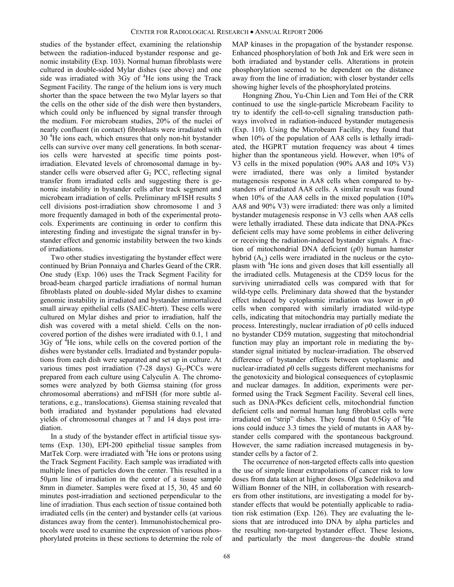studies of the bystander effect, examining the relationship between the radiation-induced bystander response and genomic instability (Exp. 103). Normal human fibroblasts were cultured in double-sided Mylar dishes (see above) and one side was irradiated with 3Gy of <sup>4</sup>He ions using the Track Segment Facility. The range of the helium ions is very much shorter than the space between the two Mylar layers so that the cells on the other side of the dish were then bystanders, which could only be influenced by signal transfer through the medium. For microbeam studies, 20% of the nuclei of nearly confluent (in contact) fibroblasts were irradiated with 30<sup>4</sup>He ions each, which ensures that only non-hit bystander cells can survive over many cell generations. In both scenarios cells were harvested at specific time points postirradiation. Elevated levels of chromosomal damage in bystander cells were observed after  $G_2$  PCC, reflecting signal transfer from irradiated cells and suggesting there is genomic instability in bystander cells after track segment and microbeam irradiation of cells. Preliminary mFISH results 5 cell divisions post-irradiation show chromosome 1 and 3 more frequently damaged in both of the experimental protocols. Experiments are continuing in order to confirm this interesting finding and investigate the signal transfer in bystander effect and genomic instability between the two kinds of irradiations.

Two other studies investigating the bystander effect were continued by Brian Ponnaiya and Charles Geard of the CRR. One study (Exp. 106) uses the Track Segment Facility for broad-beam charged particle irradiations of normal human fibroblasts plated on double-sided Mylar dishes to examine genomic instability in irradiated and bystander immortalized small airway epithelial cells (SAEC-htert). These cells were cultured on Mylar dishes and prior to irradiation, half the dish was covered with a metal shield. Cells on the noncovered portion of the dishes were irradiated with 0.1, 1 and  $3Gy$  of  ${}^{4}$ He ions, while cells on the covered portion of the dishes were bystander cells. Irradiated and bystander populations from each dish were separated and set up in culture. At various times post irradiation (7-28 days)  $G_2$ -PCCs were prepared from each culture using Calyculin A. The chromosomes were analyzed by both Giemsa staining (for gross chromosomal aberrations) and mFISH (for more subtle alterations, e.g., translocations). Giemsa staining revealed that both irradiated and bystander populations had elevated yields of chromosomal changes at 7 and 14 days post irradiation.

In a study of the bystander effect in artificial tissue systems (Exp. 130), EPI-200 epithelial tissue samples from MatTek Corp. were irradiated with <sup>4</sup>He ions or protons using the Track Segment Facility. Each sample was irradiated with multiple lines of particles down the center. This resulted in a 50µm line of irradiation in the center of a tissue sample 8mm in diameter. Samples were fixed at 15, 30, 45 and 60 minutes post-irradiation and sectioned perpendicular to the line of irradiation. Thus each section of tissue contained both irradiated cells (in the center) and bystander cells (at various distances away from the center). Immunohistochemical protocols were used to examine the expression of various phosphorylated proteins in these sections to determine the role of

MAP kinases in the propagation of the bystander response. Enhanced phosphorylation of both Jnk and Erk were seen in both irradiated and bystander cells. Alterations in protein phosphorylation seemed to be dependent on the distance away from the line of irradiation; with closer bystander cells showing higher levels of the phosphorylated proteins.

Hongning Zhou, Yu-Chin Lien and Tom Hei of the CRR continued to use the single-particle Microbeam Facility to try to identify the cell-to-cell signaling transduction pathways involved in radiation-induced bystander mutagenesis (Exp. 110). Using the Microbeam Facility, they found that when 10% of the population of AA8 cells is lethally irradiated, the HGPRT<sup>-</sup> mutation frequency was about 4 times higher than the spontaneous yield. However, when 10% of V3 cells in the mixed population (90% AA8 and 10% V3) were irradiated, there was only a limited bystander mutagenesis response in AA8 cells when compared to bystanders of irradiated AA8 cells. A similar result was found when 10% of the AA8 cells in the mixed population (10%) AA8 and 90% V3) were irradiated: there was only a limited bystander mutagenesis response in V3 cells when AA8 cells were lethally irradiated. These data indicate that DNA-PKcs deficient cells may have some problems in either delivering or receiving the radiation-induced bystander signals. A fraction of mitochondrial DNA deficient (ρ0) human hamster hybrid  $(A<sub>L</sub>)$  cells were irradiated in the nucleus or the cytoplasm with <sup>4</sup>He ions and given doses that kill essentially all the irradiated cells. Mutagenesis at the CD59 locus for the surviving unirradiated cells was compared with that for wild-type cells. Preliminary data showed that the bystander effect induced by cytoplasmic irradiation was lower in ρ0 cells when compared with similarly irradiated wild-type cells, indicating that mitochondria may partially mediate the process. Interestingly, nuclear irradiation of ρ0 cells induced no bystander CD59 mutation, suggesting that mitochondrial function may play an important role in mediating the bystander signal initiated by nuclear-irradiation. The observed difference of bystander effects between cytoplasmic and nuclear-irradiated ρ0 cells suggests different mechanisms for the genotoxicity and biological consequences of cytoplasmic and nuclear damages. In addition, experiments were performed using the Track Segment Facility. Several cell lines, such as DNA-PKcs deficient cells, mitochondrial function deficient cells and normal human lung fibroblast cells were irradiated on "strip" dishes. They found that  $0.5Gy$  of  ${}^{4}$ He ions could induce 3.3 times the yield of mutants in AA8 bystander cells compared with the spontaneous background. However, the same radiation increased mutagenesis in bystander cells by a factor of 2.

The occurrence of non-targeted effects calls into question the use of simple linear extrapolations of cancer risk to low doses from data taken at higher doses. Olga Sedelnikova and William Bonner of the NIH, in collaboration with researchers from other institutions, are investigating a model for bystander effects that would be potentially applicable to radiation risk estimation (Exp. 126). They are evaluating the lesions that are introduced into DNA by alpha particles and the resulting non-targeted bystander effect. These lesions, and particularly the most dangerous−the double strand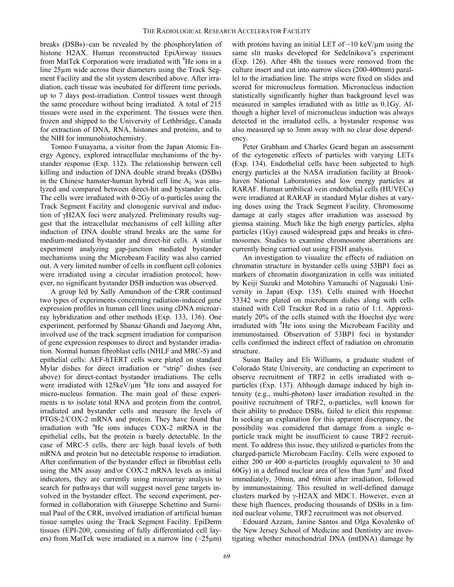breaks (DSBs)−can be revealed by the phosphorylation of histone H2AX. Human reconstructed EpiAirway tissues from MatTek Corporation were irradiated with <sup>4</sup>He ions in a line 25µm wide across their diameters using the Track Segment Facility and the slit system described above. After irradiation, each tissue was incubated for different time periods, up to 7 days post-irradiation. Control tissues went through the same procedure without being irradiated. A total of 215 tissues were used in the experiment. The tissues were then frozen and shipped to the University of Lethbridge, Canada for extraction of DNA, RNA, histones and proteins, and to the NIH for immunohistochemistry.

Tomoo Funayama, a visitor from the Japan Atomic Energy Agency, explored intracellular mechanisms of the bystander response (Exp. 132). The relationship between cell killing and induction of DNA double strand breaks (DSBs) in the Chinese hamster-human hybrid cell line  $A_L$  was analyzed and compared between direct-hit and bystander cells. The cells were irradiated with 0-2Gy of  $\alpha$ -particles using the Track Segment Facility and clonogenic survival and induction of γH2AX foci were analyzed. Preliminary results suggest that the intracellular mechanisms of cell killing after induction of DNA double strand breaks are the same for medium-mediated bystander and direct-hit cells. A similar experiment analyzing gap-junction mediated bystander mechanisms using the Microbeam Facility was also carried out. A very limited number of cells in confluent cell colonies were irradiated using a circular irradiation protocol; however, no significant bystander DSB induction was observed.

A group led by Sally Amundson of the CRR continued two types of experiments concerning radiation-induced gene expression profiles in human cell lines using cDNA microarray hybridization and other methods (Exp. 133, 136). One experiment, performed by Shanaz Ghandi and Jaeyong Ahn, involved use of the track segment irradiation for comparison of gene expression responses to direct and bystander irradiation. Normal human fibroblast cells (NHLF and MRC-5) and epithelial cells: AEF-hTERT cells were plated on standard Mylar dishes for direct irradiation or "strip" dishes (see above) for direct-contact bystander irradiations. The cells were irradiated with  $125 \text{keV}/\text{\mu m}$  <sup>4</sup>He ions and assayed for micro-nucleus formation. The main goal of these experiments is to isolate total RNA and protein from the control, irradiated and bystander cells and measure the levels of PTGS-2/COX-2 mRNA and protein. They have found that irradiation with <sup>4</sup>He ions induces COX-2 mRNA in the epithelial cells, but the protein is barely detectable. In the case of MRC-5 cells, there are high basal levels of both mRNA and protein but no detectable response to irradiation. After confirmation of the bystander effect in fibroblast cells using the MN assay and/or COX-2 mRNA levels as initial indicators, they are currently using microarray analysis to search for pathways that will suggest novel gene targets involved in the bystander effect. The second experiment, performed in collaboration with Giuseppe Schettino and Surnimal Paul of the CRR, involved irradiation of artificial human tissue samples using the Track Segment Facility. EpiDerm tissues (EPI-200, consisting of fully differentiated cell layers) from MatTek were irradiated in a narrow line  $(-25 \mu m)$ 

with protons having an initial LET of  $\sim$ 10 keV/ $\mu$ m using the same slit masks developed for Sedelnikova's experiment (Exp. 126). After 48h the tissues were removed from the culture insert and cut into narrow slices (200-400mm) parallel to the irradiation line. The strips were fixed on slides and scored for micronucleus formation. Micronucleus induction statistically significantly higher than background level was measured in samples irradiated with as little as 0.1Gy. Although a higher level of micronucleus induction was always detected in the irradiated cells, a bystander response was also measured up to 3mm away with no clear dose dependency.

Peter Grabham and Charles Geard began an assessment of the cytogenetic effects of particles with varying LETs (Exp. 134). Endothelial cells have been subjected to high energy particles at the NASA irradiation facility at Brookhaven National Laboratories and low energy particles at RARAF. Human umbilical vein endothelial cells (HUVECs) were irradiated at RARAF in standard Mylar dishes at varying doses using the Track Segment Facility. Chromosome damage at early stages after irradiation was assessed by giemsa staining. Much like the high energy particles, alpha particles (1Gy) caused widespread gaps and breaks in chromosomes. Studies to examine chromosome aberrations are currently being carried out using FISH analysis.

An investigation to visualize the effects of radiation on chromatin structure in bystander cells using 53BP1 foci as markers of chromatin disorganization in cells was initiated by Keiji Suzuki and Motohiro Yamauchi of Nagasaki University in Japan (Exp. 135). Cells stained with Hoechst 33342 were plated on microbeam dishes along with cells stained with Cell Tracker Red in a ratio of 1:1. Approximately 20% of the cells stained with the Hoechst dye were irradiated with <sup>4</sup>He ions using the Microbeam Facility and immunostained. Observation of 53BP1 foci in bystander cells confirmed the indirect effect of radiation on chromatin structure.

Susan Bailey and Eli Williams, a graduate student of Colorado State University, are conducting an experiment to observe recruitment of TRF2 in cells irradiated with αparticles (Exp. 137). Although damage induced by high intensity (e.g., multi-photon) laser irradiation resulted in the positive recruitment of TRF2, α-particles, well known for their ability to produce DSBs, failed to elicit this response. In seeking an explanation for this apparent discrepancy, the possibility was considered that damage from a single  $\alpha$ particle track might be insufficient to cause TRF2 recruitment. To address this issue, they utilized  $\alpha$ -particles from the charged-particle Microbeam Facility. Cells were exposed to either 200 or 400 α-particles (roughly equivalent to 30 and  $60Gy$ ) in a defined nuclear area of less than  $5\mu m^2$  and fixed immediately, 30min, and 60min after irradiation, followed by immunostaining. This resulted in well-defined damage clusters marked by γ-H2AX and MDC1. However, even at these high fluences, producing thousands of DSBs in a limited nuclear volume, TRF2 recruitment was not observed.

Edouard Azzam, Janine Santos and Olga Kovalenko of the New Jersey School of Medicine and Dentistry are investigating whether mitochondrial DNA (mtDNA) damage by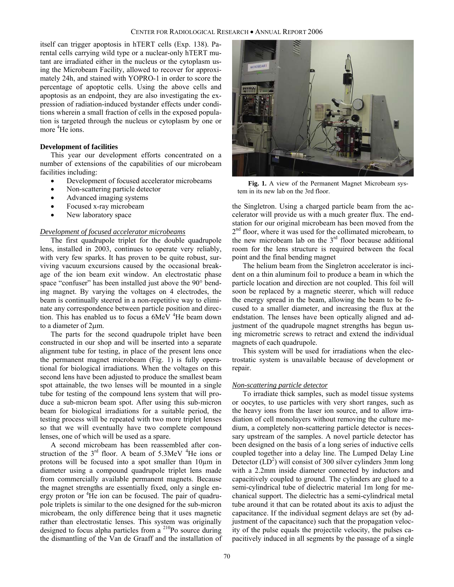itself can trigger apoptosis in hTERT cells (Exp. 138). Parental cells carrying wild type or a nuclear-only hTERT mutant are irradiated either in the nucleus or the cytoplasm using the Microbeam Facility, allowed to recover for approximately 24h, and stained with YOPRO-1 in order to score the percentage of apoptotic cells. Using the above cells and apoptosis as an endpoint, they are also investigating the expression of radiation-induced bystander effects under conditions wherein a small fraction of cells in the exposed population is targeted through the nucleus or cytoplasm by one or more <sup>4</sup>He ions.

#### **Development of facilities**

This year our development efforts concentrated on a number of extensions of the capabilities of our microbeam facilities including:

- Development of focused accelerator microbeams
- Non-scattering particle detector
- Advanced imaging systems
- Focused x-ray microbeam
- New laboratory space

### *Development of focused accelerator microbeams*

The first quadrupole triplet for the double quadrupole lens, installed in 2003, continues to operate very reliably, with very few sparks. It has proven to be quite robust, surviving vacuum excursions caused by the occasional breakage of the ion beam exit window. An electrostatic phase space "confuser" has been installed just above the 90° bending magnet. By varying the voltages on 4 electrodes, the beam is continually steered in a non-repetitive way to eliminate any correspondence between particle position and direction. This has enabled us to focus a  $6MeV$ <sup>4</sup>He beam down to a diameter of 2μm.

The parts for the second quadrupole triplet have been constructed in our shop and will be inserted into a separate alignment tube for testing, in place of the present lens once the permanent magnet microbeam (Fig. 1) is fully operational for biological irradiations. When the voltages on this second lens have been adjusted to produce the smallest beam spot attainable, the two lenses will be mounted in a single tube for testing of the compound lens system that will produce a sub-micron beam spot. After using this sub-micron beam for biological irradiations for a suitable period, the testing process will be repeated with two more triplet lenses so that we will eventually have two complete compound lenses, one of which will be used as a spare.

A second microbeam has been reassembled after construction of the  $3<sup>rd</sup>$  floor. A beam of 5.3MeV  $4$ He ions or protons will be focused into a spot smaller than 10µm in diameter using a compound quadrupole triplet lens made from commercially available permanent magnets. Because the magnet strengths are essentially fixed, only a single energy proton or <sup>4</sup>He ion can be focused. The pair of quadrupole triplets is similar to the one designed for the sub-micron microbeam, the only difference being that it uses magnetic rather than electrostatic lenses. This system was originally designed to focus alpha particles from  $a^{210}$ Po source during the dismantling of the Van de Graaff and the installation of



**Fig. 1.** A view of the Permanent Magnet Microbeam system in its new lab on the 3rd floor.

the Singletron. Using a charged particle beam from the accelerator will provide us with a much greater flux. The endstation for our original microbeam has been moved from the  $2<sup>nd</sup>$  floor, where it was used for the collimated microbeam, to the new microbeam lab on the  $3<sup>rd</sup>$  floor because additional room for the lens structure is required between the focal point and the final bending magnet

The helium beam from the Singletron accelerator is incident on a thin aluminum foil to produce a beam in which the particle location and direction are not coupled. This foil will soon be replaced by a magnetic steerer, which will reduce the energy spread in the beam, allowing the beam to be focused to a smaller diameter, and increasing the flux at the endstation. The lenses have been optically aligned and adjustment of the quadrupole magnet strengths has begun using micrometric screws to retract and extend the individual magnets of each quadrupole.

This system will be used for irradiations when the electrostatic system is unavailable because of development or repair.

#### *Non-scattering particle detector*

To irradiate thick samples, such as model tissue systems or oocytes, to use particles with very short ranges, such as the heavy ions from the laser ion source, and to allow irradiation of cell monolayers without removing the culture medium, a completely non-scattering particle detector is necessary upstream of the samples. A novel particle detector has been designed on the basis of a long series of inductive cells coupled together into a delay line. The Lumped Delay Line Detector  $(LD<sup>2</sup>)$  will consist of 300 silver cylinders 3mm long with a 2.2mm inside diameter connected by inductors and capacitively coupled to ground. The cylinders are glued to a semi-cylindrical tube of dielectric material 1m long for mechanical support. The dielectric has a semi-cylindrical metal tube around it that can be rotated about its axis to adjust the capacitance. If the individual segment delays are set (by adjustment of the capacitance) such that the propagation velocity of the pulse equals the projectile velocity, the pulses capacitively induced in all segments by the passage of a single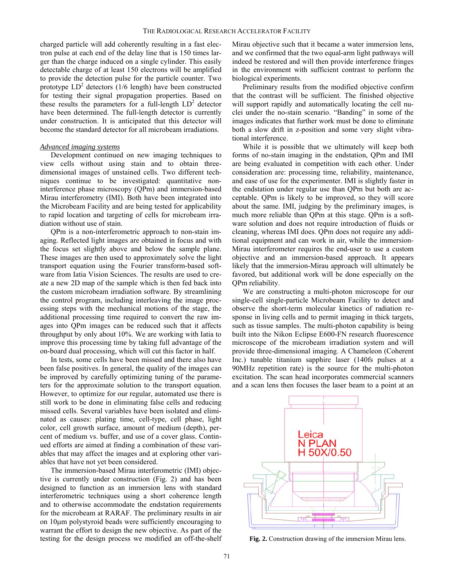charged particle will add coherently resulting in a fast electron pulse at each end of the delay line that is 150 times larger than the charge induced on a single cylinder. This easily detectable charge of at least 150 electrons will be amplified to provide the detection pulse for the particle counter. Two prototype  $LD^2$  detectors (1/6 length) have been constructed for testing their signal propagation properties. Based on these results the parameters for a full-length  $LD^2$  detector have been determined. The full-length detector is currently under construction. It is anticipated that this detector will become the standard detector for all microbeam irradiations.

# *Advanced imaging systems*

Development continued on new imaging techniques to view cells without using stain and to obtain threedimensional images of unstained cells. Two different techniques continue to be investigated: quantitative noninterference phase microscopy (QPm) and immersion-based Mirau interferometry (IMI). Both have been integrated into the Microbeam Facility and are being tested for applicability to rapid location and targeting of cells for microbeam irradiation without use of stain.

QPm is a non-interferometric approach to non-stain imaging. Reflected light images are obtained in focus and with the focus set slightly above and below the sample plane. These images are then used to approximately solve the light transport equation using the Fourier transform-based software from Iatia Vision Sciences. The results are used to create a new 2D map of the sample which is then fed back into the custom microbeam irradiation software. By streamlining the control program, including interleaving the image processing steps with the mechanical motions of the stage, the additional processing time required to convert the raw images into QPm images can be reduced such that it affects throughput by only about 10%. We are working with Iatia to improve this processing time by taking full advantage of the on-board dual processing, which will cut this factor in half.

In tests, some cells have been missed and there also have been false positives. In general, the quality of the images can be improved by carefully optimizing tuning of the parameters for the approximate solution to the transport equation. However, to optimize for our regular, automated use there is still work to be done in eliminating false cells and reducing missed cells. Several variables have been isolated and eliminated as causes: plating time, cell-type, cell phase, light color, cell growth surface, amount of medium (depth), percent of medium vs. buffer, and use of a cover glass. Continued efforts are aimed at finding a combination of these variables that may affect the images and at exploring other variables that have not yet been considered.

The immersion-based Mirau interferometric (IMI) objective is currently under construction (Fig. 2) and has been designed to function as an immersion lens with standard interferometric techniques using a short coherence length and to otherwise accommodate the endstation requirements for the microbeam at RARAF. The preliminary results in air on 10μm polystyroid beads were sufficiently encouraging to warrant the effort to design the new objective. As part of the testing for the design process we modified an off-the-shelf Mirau objective such that it became a water immersion lens, and we confirmed that the two equal-arm light pathways will indeed be restored and will then provide interference fringes in the environment with sufficient contrast to perform the biological experiments.

Preliminary results from the modified objective confirm that the contrast will be sufficient. The finished objective will support rapidly and automatically locating the cell nuclei under the no-stain scenario. "Banding" in some of the images indicates that further work must be done to eliminate both a slow drift in z-position and some very slight vibrational interference.

While it is possible that we ultimately will keep both forms of no-stain imaging in the endstation, QPm and IMI are being evaluated in competition with each other. Under consideration are: processing time, reliability, maintenance, and ease of use for the experimenter. IMI is slightly faster in the endstation under regular use than QPm but both are acceptable. QPm is likely to be improved, so they will score about the same. IMI, judging by the preliminary images, is much more reliable than QPm at this stage. QPm is a software solution and does not require introduction of fluids or cleaning, whereas IMI does. QPm does not require any additional equipment and can work in air, while the immersion-Mirau interferometer requires the end-user to use a custom objective and an immersion-based approach. It appears likely that the immersion-Mirau approach will ultimately be favored, but additional work will be done especially on the QPm reliability.

We are constructing a multi-photon microscope for our single-cell single-particle Microbeam Facility to detect and observe the short-term molecular kinetics of radiation response in living cells and to permit imaging in thick targets, such as tissue samples. The multi-photon capability is being built into the Nikon Eclipse E600-FN research fluorescence microscope of the microbeam irradiation system and will provide three-dimensional imaging. A Chameleon (Coherent Inc.) tunable titanium sapphire laser (140fs pulses at a 90MHz repetition rate) is the source for the multi-photon excitation. The scan head incorporates commercial scanners and a scan lens then focuses the laser beam to a point at an



**Fig. 2.** Construction drawing of the immersion Mirau lens.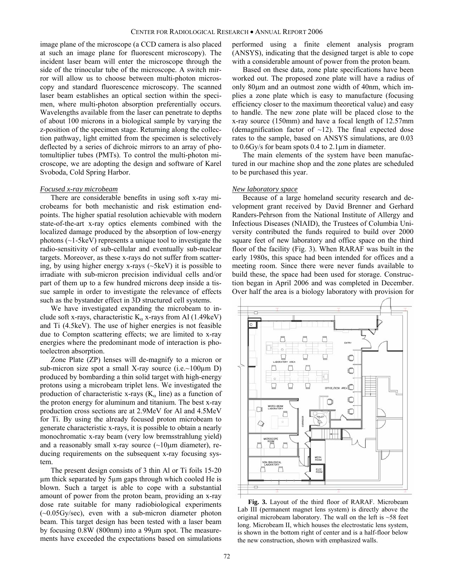image plane of the microscope (a CCD camera is also placed at such an image plane for fluorescent microscopy). The incident laser beam will enter the microscope through the side of the trinocular tube of the microscope. A switch mirror will allow us to choose between multi-photon microscopy and standard fluorescence microscopy. The scanned laser beam establishes an optical section within the specimen, where multi-photon absorption preferentially occurs. Wavelengths available from the laser can penetrate to depths of about 100 microns in a biological sample by varying the z-position of the specimen stage. Returning along the collection pathway, light emitted from the specimen is selectively deflected by a series of dichroic mirrors to an array of photomultiplier tubes (PMTs). To control the multi-photon microscope, we are adopting the design and software of Karel Svoboda, Cold Spring Harbor.

#### *Focused x-ray microbeam*

There are considerable benefits in using soft x-ray microbeams for both mechanistic and risk estimation endpoints. The higher spatial resolution achievable with modern state-of-the-art x-ray optics elements combined with the localized damage produced by the absorption of low-energy photons  $(\sim]$ -5keV) represents a unique tool to investigate the radio-sensitivity of sub-cellular and eventually sub-nuclear targets. Moreover, as these x-rays do not suffer from scattering, by using higher energy x-rays (~5keV) it is possible to irradiate with sub-micron precision individual cells and/or part of them up to a few hundred microns deep inside a tissue sample in order to investigate the relevance of effects such as the bystander effect in 3D structured cell systems.

We have investigated expanding the microbeam to include soft x-rays, characteristic  $K_{\alpha}$  x-rays from Al (1.49keV) and Ti (4.5keV). The use of higher energies is not feasible due to Compton scattering effects; we are limited to x-ray energies where the predominant mode of interaction is photoelectron absorption.

Zone Plate (ZP) lenses will de-magnify to a micron or sub-micron size spot a small X-ray source  $(i.e.~100 \mu m)$ produced by bombarding a thin solid target with high-energy protons using a microbeam triplet lens. We investigated the production of characteristic x-rays ( $K_{\alpha}$  line) as a function of the proton energy for aluminum and titanium. The best x-ray production cross sections are at 2.9MeV for Al and 4.5MeV for Ti. By using the already focused proton microbeam to generate characteristic x-rays, it is possible to obtain a nearly monochromatic x-ray beam (very low bremsstrahlung yield) and a reasonably small x-ray source  $(\sim 10 \mu m)$  diameter), reducing requirements on the subsequent x-ray focusing system.

The present design consists of 3 thin Al or Ti foils 15-20 µm thick separated by 5µm gaps through which cooled He is blown. Such a target is able to cope with a substantial amount of power from the proton beam, providing an x-ray dose rate suitable for many radiobiological experiments (~0.05Gy/sec), even with a sub-micron diameter photon beam. This target design has been tested with a laser beam by focusing 0.8W (800nm) into a 99μm spot. The measurements have exceeded the expectations based on simulations performed using a finite element analysis program (ANSYS), indicating that the designed target is able to cope with a considerable amount of power from the proton beam.

Based on these data, zone plate specifications have been worked out. The proposed zone plate will have a radius of only 80μm and an outmost zone width of 40nm, which implies a zone plate which is easy to manufacture (focusing efficiency closer to the maximum theoretical value) and easy to handle. The new zone plate will be placed close to the x-ray source (150mm) and have a focal length of 12.57mm (demagnification factor of  $\sim$ 12). The final expected dose rates to the sample, based on ANSYS simulations, are 0.03 to 0.6Gy/s for beam spots 0.4 to 2.1μm in diameter.

The main elements of the system have been manufactured in our machine shop and the zone plates are scheduled to be purchased this year.

#### *New laboratory space*

Because of a large homeland security research and development grant received by David Brenner and Gerhard Randers-Pehrson from the National Institute of Allergy and Infectious Diseases (NIAID), the Trustees of Columbia University contributed the funds required to build over 2000 square feet of new laboratory and office space on the third floor of the facility (Fig. 3). When RARAF was built in the early 1980s, this space had been intended for offices and a meeting room. Since there were never funds available to build these, the space had been used for storage. Construction began in April 2006 and was completed in December. Over half the area is a biology laboratory with provision for



**Fig. 3.** Layout of the third floor of RARAF. Microbeam Lab III (permanent magnet lens system) is directly above the original microbeam laboratory. The wall on the left is ~58 feet long. Microbeam II, which houses the electrostatic lens system, is shown in the bottom right of center and is a half-floor below the new construction, shown with emphasized walls.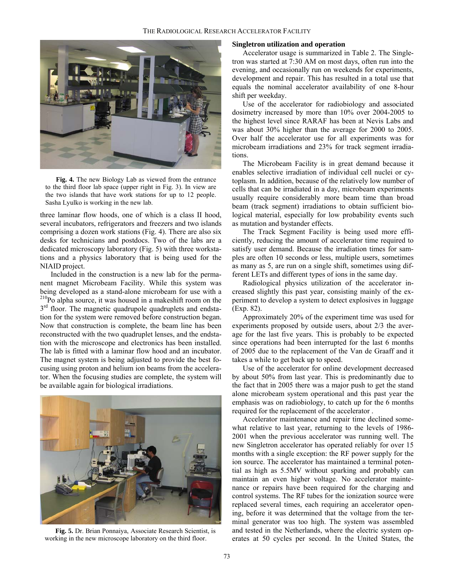

**Fig. 4.** The new Biology Lab as viewed from the entrance to the third floor lab space (upper right in Fig. 3). In view are the two islands that have work stations for up to 12 people. Sasha Lyulko is working in the new lab.

three laminar flow hoods, one of which is a class II hood, several incubators, refrigerators and freezers and two islands comprising a dozen work stations (Fig. 4). There are also six desks for technicians and postdocs. Two of the labs are a dedicated microscopy laboratory (Fig. 5) with three workstations and a physics laboratory that is being used for the NIAID project.

Included in the construction is a new lab for the permanent magnet Microbeam Facility. While this system was being developed as a stand-alone microbeam for use with a <sup>210</sup>Po alpha source, it was housed in a makeshift room on the  $3<sup>rd</sup>$  floor. The magnetic quadrupole quadruplets and endstation for the system were removed before construction began. Now that construction is complete, the beam line has been reconstructed with the two quadruplet lenses, and the endstation with the microscope and electronics has been installed. The lab is fitted with a laminar flow hood and an incubator. The magnet system is being adjusted to provide the best focusing using proton and helium ion beams from the accelerator. When the focusing studies are complete, the system will be available again for biological irradiations.



**Fig. 5.** Dr. Brian Ponnaiya, Associate Research Scientist, is working in the new microscope laboratory on the third floor.

#### **Singletron utilization and operation**

Accelerator usage is summarized in Table 2. The Singletron was started at 7:30 AM on most days, often run into the evening, and occasionally run on weekends for experiments, development and repair. This has resulted in a total use that equals the nominal accelerator availability of one 8-hour shift per weekday.

Use of the accelerator for radiobiology and associated dosimetry increased by more than 10% over 2004-2005 to the highest level since RARAF has been at Nevis Labs and was about 30% higher than the average for 2000 to 2005. Over half the accelerator use for all experiments was for microbeam irradiations and 23% for track segment irradiations.

The Microbeam Facility is in great demand because it enables selective irradiation of individual cell nuclei or cytoplasm. In addition, because of the relatively low number of cells that can be irradiated in a day, microbeam experiments usually require considerably more beam time than broad beam (track segment) irradiations to obtain sufficient biological material, especially for low probability events such as mutation and bystander effects.

The Track Segment Facility is being used more efficiently, reducing the amount of accelerator time required to satisfy user demand. Because the irradiation times for samples are often 10 seconds or less, multiple users, sometimes as many as 5, are run on a single shift, sometimes using different LETs and different types of ions in the same day.

Radiological physics utilization of the accelerator increased slightly this past year, consisting mainly of the experiment to develop a system to detect explosives in luggage (Exp. 82).

Approximately 20% of the experiment time was used for experiments proposed by outside users, about 2/3 the average for the last five years. This is probably to be expected since operations had been interrupted for the last 6 months of 2005 due to the replacement of the Van de Graaff and it takes a while to get back up to speed.

Use of the accelerator for online development decreased by about 50% from last year. This is predominantly due to the fact that in 2005 there was a major push to get the stand alone microbeam system operational and this past year the emphasis was on radiobiology, to catch up for the 6 months required for the replacement of the accelerator .

Accelerator maintenance and repair time declined somewhat relative to last year, returning to the levels of 1986- 2001 when the previous accelerator was running well. The new Singletron accelerator has operated reliably for over 15 months with a single exception: the RF power supply for the ion source. The accelerator has maintained a terminal potential as high as 5.5MV without sparking and probably can maintain an even higher voltage. No accelerator maintenance or repairs have been required for the charging and control systems. The RF tubes for the ionization source were replaced several times, each requiring an accelerator opening, before it was determined that the voltage from the terminal generator was too high. The system was assembled and tested in the Netherlands, where the electric system operates at 50 cycles per second. In the United States, the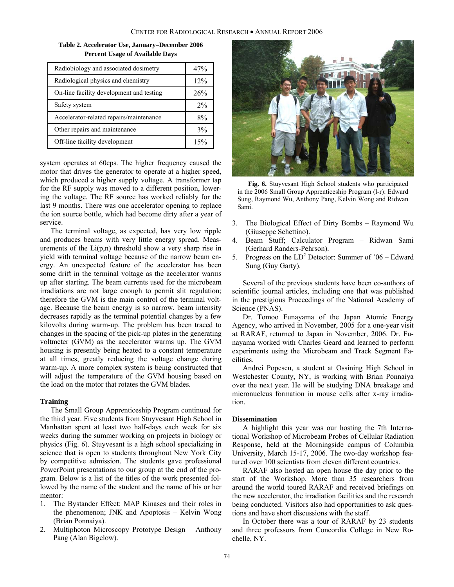| Radiobiology and associated dosimetry    | 47% |
|------------------------------------------|-----|
| Radiological physics and chemistry       | 12% |
| On-line facility development and testing | 26% |
| Safety system                            | 2%  |
| Accelerator-related repairs/maintenance  | 8%  |
| Other repairs and maintenance            | 3%  |
| Off-line facility development            | 15% |

**Table 2. Accelerator Use, January–December 2006 Percent Usage of Available Days** 

system operates at 60cps. The higher frequency caused the motor that drives the generator to operate at a higher speed, which produced a higher supply voltage. A transformer tap for the RF supply was moved to a different position, lowering the voltage. The RF source has worked reliably for the last 9 months. There was one accelerator opening to replace the ion source bottle, which had become dirty after a year of service.

The terminal voltage, as expected, has very low ripple and produces beams with very little energy spread. Measurements of the  $Li(p,n)$  threshold show a very sharp rise in yield with terminal voltage because of the narrow beam energy. An unexpected feature of the accelerator has been some drift in the terminal voltage as the accelerator warms up after starting. The beam currents used for the microbeam irradiations are not large enough to permit slit regulation; therefore the GVM is the main control of the terminal voltage. Because the beam energy is so narrow, beam intensity decreases rapidly as the terminal potential changes by a few kilovolts during warm-up. The problem has been traced to changes in the spacing of the pick-up plates in the generating voltmeter (GVM) as the accelerator warms up. The GVM housing is presently being heated to a constant temperature at all times, greatly reducing the voltage change during warm-up. A more complex system is being constructed that will adjust the temperature of the GVM housing based on the load on the motor that rotates the GVM blades.

#### **Training**

The Small Group Apprenticeship Program continued for the third year. Five students from Stuyvesant High School in Manhattan spent at least two half-days each week for six weeks during the summer working on projects in biology or physics (Fig. 6). Stuyvesant is a high school specializing in science that is open to students throughout New York City by competitive admission. The students gave professional PowerPoint presentations to our group at the end of the program. Below is a list of the titles of the work presented followed by the name of the student and the name of his or her mentor:

- 1. The Bystander Effect: MAP Kinases and their roles in the phenomenon; JNK and Apoptosis – Kelvin Wong (Brian Ponnaiya).
- 2. Multiphoton Microscopy Prototype Design Anthony Pang (Alan Bigelow).



**Fig. 6.** Stuyvesant High School students who participated in the 2006 Small Group Apprenticeship Program (l-r): Edward Sung, Raymond Wu, Anthony Pang, Kelvin Wong and Ridwan Sami.

- 3. The Biological Effect of Dirty Bombs Raymond Wu (Giuseppe Schettino).
- 4. Beam Stuff; Calculator Program Ridwan Sami (Gerhard Randers-Pehrson).
- 5. Progress on the  $LD^2$  Detector: Summer of '06 Edward Sung (Guy Garty).

Several of the previous students have been co-authors of scientific journal articles, including one that was published in the prestigious Proceedings of the National Academy of Science (PNAS).

Dr. Tomoo Funayama of the Japan Atomic Energy Agency, who arrived in November, 2005 for a one-year visit at RARAF, returned to Japan in November, 2006. Dr. Funayama worked with Charles Geard and learned to perform experiments using the Microbeam and Track Segment Facilities.

Andrei Popescu, a student at Ossining High School in Westchester County, NY, is working with Brian Ponnaiya over the next year. He will be studying DNA breakage and micronucleus formation in mouse cells after x-ray irradiation.

# **Dissemination**

A highlight this year was our hosting the 7th International Workshop of Microbeam Probes of Cellular Radiation Response, held at the Morningside campus of Columbia University, March 15-17, 2006. The two-day workshop featured over 100 scientists from eleven different countries.

RARAF also hosted an open house the day prior to the start of the Workshop. More than 35 researchers from around the world toured RARAF and received briefings on the new accelerator, the irradiation facilities and the research being conducted. Visitors also had opportunities to ask questions and have short discussions with the staff.

In October there was a tour of RARAF by 23 students and three professors from Concordia College in New Rochelle, NY.